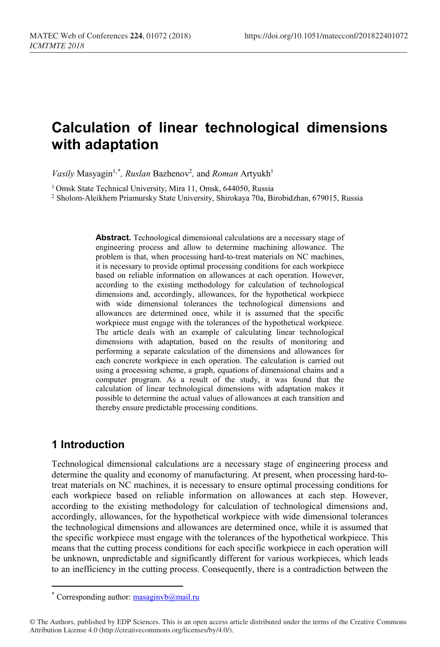# **Calculation of linear technological dimensions with adaptation**

*Vasily* Masyagin<sup>1,[\\*](#page-0-0)</sup>, Ruslan Bazhenov<sup>2</sup>, and *Roman* Artyukh<sup>1</sup>

<sup>1</sup> Omsk State Technical University, Mira 11, Omsk, 644050, Russia

<sup>2</sup> Sholom-Aleikhem Priamursky State University, Shirokaya 70a, Birobidzhan, 679015, Russia

**Abstract.** Technological dimensional calculations are a necessary stage of engineering process and allow to determine machining allowance. The problem is that, when processing hard-to-treat materials on NC machines, it is necessary to provide optimal processing conditions for each workpiece based on reliable information on allowances at each operation. However, according to the existing methodology for calculation of technological dimensions and, accordingly, allowances, for the hypothetical workpiece with wide dimensional tolerances the technological dimensions and allowances are determined once, while it is assumed that the specific workpiece must engage with the tolerances of the hypothetical workpiece. The article deals with an example of calculating linear technological dimensions with adaptation, based on the results of monitoring and performing a separate calculation of the dimensions and allowances for each concrete workpiece in each operation. The calculation is carried out using a processing scheme, a graph, equations of dimensional chains and a computer program. As a result of the study, it was found that the calculation of linear technological dimensions with adaptation makes it possible to determine the actual values of allowances at each transition and thereby ensure predictable processing conditions.

#### **1 Introduction**

 $\overline{a}$ 

Technological dimensional calculations are a necessary stage of engineering process and determine the quality and economy of manufacturing. At present, when processing hard-totreat materials on NC machines, it is necessary to ensure optimal processing conditions for each workpiece based on reliable information on allowances at each step. However, according to the existing methodology for calculation of technological dimensions and, accordingly, allowances, for the hypothetical workpiece with wide dimensional tolerances the technological dimensions and allowances are determined once, while it is assumed that the specific workpiece must engage with the tolerances of the hypothetical workpiece. This means that the cutting process conditions for each specific workpiece in each operation will be unknown, unpredictable and significantly different for various workpieces, which leads to an inefficiency in the cutting process. Consequently, there is a contradiction between the

<sup>\*</sup> Corresponding author:  $\frac{massq}{m}$  $\frac{m}{m}$ 

<span id="page-0-0"></span><sup>©</sup> The Authors, published by EDP Sciences. This is an open access article distributed under the terms of the Creative Commons Attribution License 4.0 (http://creativecommons.org/licenses/by/4.0/).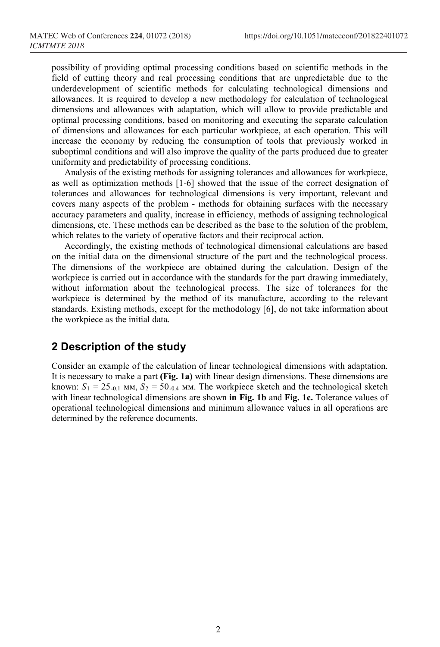possibility of providing optimal processing conditions based on scientific methods in the field of cutting theory and real processing conditions that are unpredictable due to the underdevelopment of scientific methods for calculating technological dimensions and allowances. It is required to develop a new methodology for calculation of technological dimensions and allowances with adaptation, which will allow to provide predictable and optimal processing conditions, based on monitoring and executing the separate calculation of dimensions and allowances for each particular workpiece, at each operation. This will increase the economy by reducing the consumption of tools that previously worked in suboptimal conditions and will also improve the quality of the parts produced due to greater uniformity and predictability of processing conditions.

Analysis of the existing methods for assigning tolerances and allowances for workpiece, as well as optimization methods [1-6] showed that the issue of the correct designation of tolerances and allowances for technological dimensions is very important, relevant and covers many aspects of the problem - methods for obtaining surfaces with the necessary accuracy parameters and quality, increase in efficiency, methods of assigning technological dimensions, etc. These methods can be described as the base to the solution of the problem, which relates to the variety of operative factors and their reciprocal action.

Accordingly, the existing methods of technological dimensional calculations are based on the initial data on the dimensional structure of the part and the technological process. The dimensions of the workpiece are obtained during the calculation. Design of the workpiece is carried out in accordance with the standards for the part drawing immediately, without information about the technological process. The size of tolerances for the workpiece is determined by the method of its manufacture, according to the relevant standards. Existing methods, except for the methodology [6], do not take information about the workpiece as the initial data.

#### **2 Description of the study**

Consider an example of the calculation of linear technological dimensions with adaptation. It is necessary to make a part **(Fig. 1a)** with linear design dimensions. These dimensions are known:  $S_1 = 25_{-0.1}$  MM,  $S_2 = 50_{-0.4}$  MM. The workpiece sketch and the technological sketch with linear technological dimensions are shown **in Fig. 1b** and **Fig. 1c.** Tolerance values of operational technological dimensions and minimum allowance values in all operations are determined by the reference documents.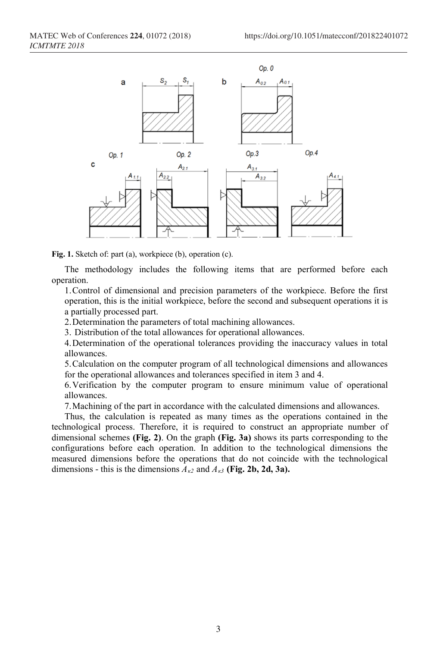

**Fig. 1.** Sketch of: part (a), workpiece (b), operation (c).

The methodology includes the following items that are performed before each operation.

1.Control of dimensional and precision parameters of the workpiece. Before the first operation, this is the initial workpiece, before the second and subsequent operations it is a partially processed part.

2.Determination the parameters of total machining allowances.

3. Distribution of the total allowances for operational allowances.

4.Determination of the operational tolerances providing the inaccuracy values in total allowances.

5.Calculation on the computer program of all technological dimensions and allowances for the operational allowances and tolerances specified in item 3 and 4.

6.Verification by the computer program to ensure minimum value of operational allowances.

7.Machining of the part in accordance with the calculated dimensions and allowances.

Thus, the calculation is repeated as many times as the operations contained in the technological process. Therefore, it is required to construct an appropriate number of dimensional schemes **(Fig. 2)**. On the graph **(Fig. 3a)** shows its parts corresponding to the configurations before each operation. In addition to the technological dimensions the measured dimensions before the operations that do not coincide with the technological dimensions - this is the dimensions  $A_{k2}$  and  $A_{k3}$  (Fig. 2b, 2d, 3a).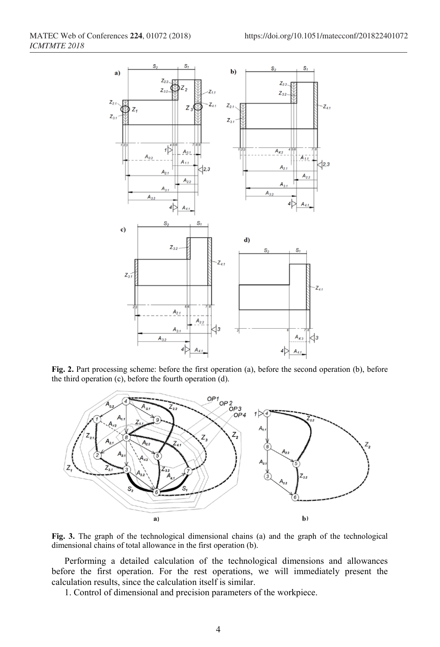

**Fig. 2.** Part processing scheme: before the first operation (a), before the second operation (b), before



**Fig. 3.** The graph of the technological dimensional chains (a) and the graph of the technological dimensional chains of total allowance in the first operation (b).

Performing a detailed calculation of the technological dimensions and allowances before the first operation. For the rest operations, we will immediately present the calculation results, since the calculation itself is similar.

1. Control of dimensional and precision parameters of the workpiece.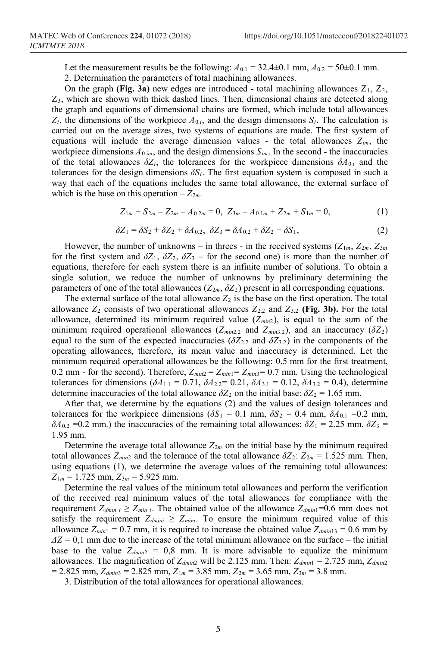Let the measurement results be the following:  $A_{0.1} = 32.4 \pm 0.1$  mm,  $A_{0.2} = 50 \pm 0.1$  mm. 2. Determination the parameters of total machining allowances.

On the graph **(Fig. 3a)** new edges are introduced - total machining allowances  $Z_1$ ,  $Z_2$ ,  $Z_3$ , which are shown with thick dashed lines. Then, dimensional chains are detected along the graph and equations of dimensional chains are formed, which include total allowances  $Z_i$ , the dimensions of the workpiece  $A_{0,i}$ , and the design dimensions  $S_i$ . The calculation is carried out on the average sizes, two systems of equations are made. The first system of equations will include the average dimension values - the total allowances *Zim*, the workpiece dimensions  $A_{0,im}$ , and the design dimensions  $S_{im}$ . In the second - the inaccuracies of the total allowances  $\delta Z_i$ , the tolerances for the workpiece dimensions  $\delta A_{0,i}$  and the tolerances for the design dimensions  $\delta S_i$ . The first [equation system](https://www.multitran.ru/c/m.exe?t=2522888_1_2&s1=%F1%E8%F1%F2%E5%EC%E0%20%F3%F0%E0%E2%ED%E5%ED%E8%E9) is composed in such a way that each of the equations includes the same total allowance, the external surface of which is the base on this operation  $-Z_{2m}$ .

 $Z_{1m} + S_{2m} - Z_{2m} - A_{0,2m} = 0$ ,  $Z_{3m} - A_{0,1m} + Z_{2m} + S_{1m} = 0$ , (1)

$$
\delta Z_1 = \delta S_2 + \delta Z_2 + \delta A_{0.2}, \ \delta Z_3 = \delta A_{0.2} + \delta Z_2 + \delta S_1,\tag{2}
$$

However, the number of unknowns – in threes - in the received systems  $(Z_{1m}, Z_{2m}, Z_{3m})$ for the first system and  $\delta Z_1$ ,  $\delta Z_2$ ,  $\delta Z_3$  – for the second one) is more than the number of equations, therefore for each system there is an infinite number of solutions. To obtain a single solution, we reduce the number of unknowns by preliminary determining the parameters of one of the total allowances ( $Z_{2m}$ ,  $\delta Z_2$ ) present in all corresponding equations.

The external surface of the total allowance  $Z_2$  is the base on the first operation. The total allowance  $Z_2$  consists of two operational allowances  $Z_{2,2}$  and  $Z_{3,2}$  (Fig. 3b). For the total allowance, determined its minimum required value  $(Z_{min2})$ , is equal to the sum of the minimum required operational allowances ( $Z_{min2,2}$  and  $Z_{min3,2}$ ), and an inaccuracy ( $\delta Z_2$ ) equal to the sum of the expected inaccuracies ( $\delta Z_{2,2}$  and  $\delta Z_{3,2}$ ) in the components of the operating allowances, therefore, its mean value and inaccuracy is determined. Let the minimum required operational allowances be the following: 0.5 mm for the first treatment, 0.2 mm - for the second). Therefore,  $Z_{min2} = Z_{min1} = Z_{min3} = 0.7$  mm. Using the technological tolerances for dimensions  $(\delta A_{1,1} = 0.71, \delta A_{2,2} = 0.21, \delta A_{3,1} = 0.12, \delta A_{3,2} = 0.4)$ , determine determine inaccuracies of the total allowance  $\delta Z_2$  on the initial base:  $\delta Z_2 = 1.65$  mm.

After that, we determine by the equations (2) and the values of design tolerances and tolerances for the workpiece dimensions ( $\delta S_1 = 0.1$  mm,  $\delta S_2 = 0.4$  mm,  $\delta A_{0.1} = 0.2$  mm,  $δA<sub>0.2</sub> = 0.2$  mm.) the inaccuracies of the remaining total allowances:  $δZ<sub>1</sub> = 2.25$  mm,  $δZ<sub>3</sub> =$ 1.95 mm.

Determine the average total allowance  $Z_{2m}$  on the initial base by the minimum required total allowances  $Z_{min2}$  and the tolerance of the total allowance  $\delta Z_2$ :  $Z_{2m} = 1.525$  mm. Then, using equations (1), we determine the average values of the remaining total allowances:  $Z_{1m} = 1.725$  mm,  $Z_{3m} = 5.925$  mm.

Determine the real values of the minimum total allowances and perform the verification of the received real minimum values of the total allowances for compliance with the requirement  $Z_{dmin} \geq Z_{min}$ . The obtained value of the allowance  $Z_{dmin}=0.6$  mm does not satisfy the requirement  $Z_{dmin} \geq Z_{min}$ . To ensure the minimum required value of this allowance  $Z_{min1} = 0.7$  mm, it is required to increase the obtained value  $Z_{dim11} = 0.6$  mm by  $\Delta Z = 0.1$  mm due to the increase of the total minimum allowance on the surface – the initial base to the value  $Z_{dmin2} = 0.8$  mm. It is more advisable to equalize the minimum allowances. The magnification of *Zdmin*<sup>2</sup> will be 2.125 mm. Then: *Zdmin*<sup>1</sup> = 2.725 mm, *Zdmin*<sup>2</sup>  $= 2.825$  mm,  $Z_{dmin3} = 2.825$  mm,  $Z_{1m} = 3.85$  mm,  $Z_{2m} = 3.65$  mm,  $Z_{3m} = 3.8$  mm.

3. Distribution of the total allowances for operational allowances.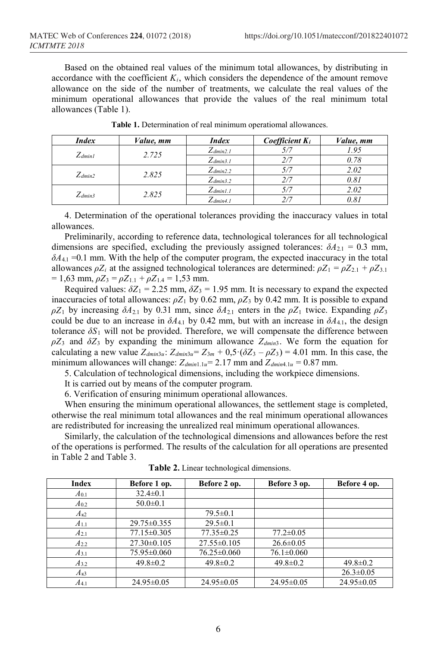Based on the obtained real values of the minimum total allowances, by distributing in accordance with the coefficient  $K_i$ , which considers the dependence of the amount remove allowance on the side of the number of treatments, we calculate the real values of the minimum operational allowances that provide the values of the real minimum total allowances (Table 1).

| <b>Index</b> | <i>Value, mm</i> | <b>Index</b>  | <i>Coefficient</i> $K_i$ | <i>Value, mm</i> |
|--------------|------------------|---------------|--------------------------|------------------|
| $Z_{dmin1}$  | 2.725            | $Z_{dmin2.1}$ |                          | 1.95             |
|              |                  | $Z_{dmin3.1}$ |                          | 0.78             |
| $Z_{dmin2}$  | 2.825            | $Z_{dmin2.2}$ |                          | 2.02             |
|              |                  | $Z_{dmin3.2}$ |                          | 0.81             |
| $Z_{dmin3}$  | 2.825            | $Z_{dmin1.1}$ |                          | 2.02             |
|              |                  | $Z_{dmin4.1}$ |                          |                  |

**Table 1.** Determination of real minimum operatiomal allowances.

4. Determination of the operational tolerances providing the inaccuracy values in total allowances.

Preliminarily, according to reference data, technological tolerances for all technological dimensions are specified, excluding the previously assigned tolerances:  $\delta A_{2,1} = 0.3$  mm,  $\delta A_{4,1}$  =0.1 mm. With the help of the computer program, the expected inaccuracy in the total allowances  $\rho Z_i$  at the assigned technological tolerances are determined:  $\rho Z_1 = \rho Z_{2,1} + \rho Z_{3,1}$  $= 1,63$  mm,  $\rho Z_3 = \rho Z_{1,1} + \rho Z_{1,4} = 1,53$  mm.

Required values:  $\delta Z_1 = 2.25$  mm,  $\delta Z_3 = 1.95$  mm. It is necessary to expand the expected inaccuracies of total allowances:  $\rho Z_1$  by 0.62 mm,  $\rho Z_3$  by 0.42 mm. It is possible to expand *ρZ*<sub>1</sub> by increasing *δA*<sub>2.1</sub> by 0.31 mm, since *δA*<sub>2.1</sub> enters in the *ρZ*<sub>1</sub> twice. Expanding *ρZ*<sub>3</sub> could be due to an increase in  $\delta A_{4,1}$  by 0.42 mm, but with an increase in  $\delta A_{4,1}$ , the design tolerance  $\delta S_1$  will not be provided. Therefore, we will compensate the difference between  $\rho Z_3$  and  $\delta Z_3$  by expanding the minimum allowance  $Z_{dmin3}$ . We form the equation for calculating a new value  $Z_{dmin3u}$ :  $Z_{dmin3u} = Z_{3m} + 0.5 \cdot (\delta Z_3 - \rho Z_3) = 4.01$  mm. In this case, the minimum allowances will change:  $Z_{dmin1.1u} = 2.17$  mm and  $Z_{dmin4.1u} = 0.87$  mm.

5. Calculation of technological dimensions, including the workpiece dimensions.

It is carried out by means of the computer program.

6. Verification of ensuring minimum operational allowances.

When ensuring the minimum operational allowances, the settlement stage is completed, otherwise the real minimum total allowances and the real minimum operational allowances are redistributed for increasing the unrealized real minimum operational allowances.

Similarly, the calculation of the technological dimensions and allowances before the rest of the operations is performed. The results of the calculation for all operations are presented in Table 2 and Table 3.

| Index     | Before 1 op.      | Before 2 op.      | Before 3 op.     | Before 4 op.     |
|-----------|-------------------|-------------------|------------------|------------------|
| $A_{0.1}$ | $32.4 \pm 0.1$    |                   |                  |                  |
| $A_{0,2}$ | $50.0 \pm 0.1$    |                   |                  |                  |
| $A_{K2}$  |                   | $79.5 \pm 0.1$    |                  |                  |
| $A_{1,1}$ | $29.75 \pm 0.355$ | $29.5 \pm 0.1$    |                  |                  |
| $A_{2.1}$ | 77.15 ± 0.305     | $77.35\pm0.25$    | $77.2 \pm 0.05$  |                  |
| $A_{2,2}$ | $27.30 \pm 0.105$ | $27.55 \pm 0.105$ | $26.6 \pm 0.05$  |                  |
| $A_{3,1}$ | 75.95 ± 0.060     | $76.25 \pm 0.060$ | $76.1 \pm 0.060$ |                  |
| $A_{3.2}$ | $49.8 \pm 0.2$    | $49.8 \pm 0.2$    | $49.8 \pm 0.2$   | $49.8 \pm 0.2$   |
| $A_{K3}$  |                   |                   |                  | $26.3 \pm 0.05$  |
| $A_{4,1}$ | $24.95 \pm 0.05$  | $24.95 \pm 0.05$  | $24.95 \pm 0.05$ | $24.95 \pm 0.05$ |

**Table 2.** Linear technological dimensions.